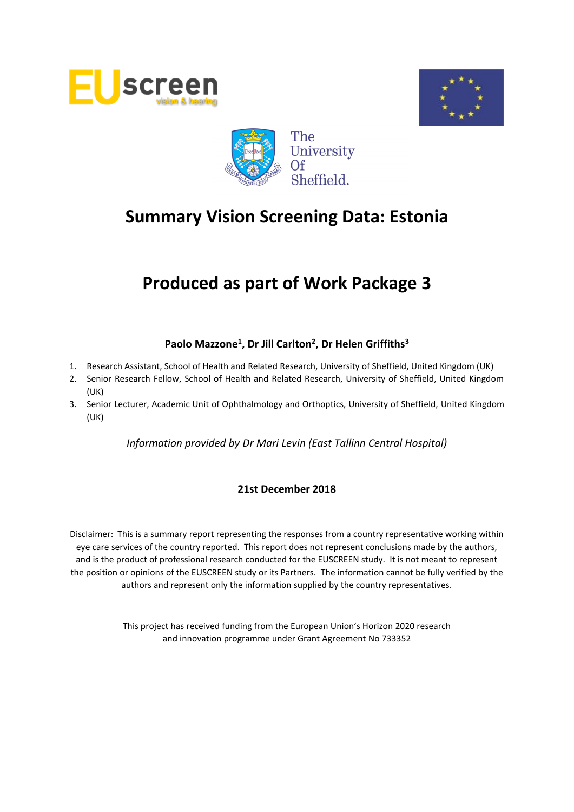





# **Produced as part of Work Package 3**

# **Paolo Mazzone<sup>1</sup> , Dr Jill Carlton<sup>2</sup> , Dr Helen Griffiths<sup>3</sup>**

- 1. Research Assistant, School of Health and Related Research, University of Sheffield, United Kingdom (UK)
- 2. Senior Research Fellow, School of Health and Related Research, University of Sheffield, United Kingdom (UK)
- 3. Senior Lecturer, Academic Unit of Ophthalmology and Orthoptics, University of Sheffield, United Kingdom (UK)

*Information provided by Dr Mari Levin (East Tallinn Central Hospital)*

# **21st December 2018**

Disclaimer: This is a summary report representing the responses from a country representative working within eye care services of the country reported. This report does not represent conclusions made by the authors, and is the product of professional research conducted for the EUSCREEN study. It is not meant to represent the position or opinions of the EUSCREEN study or its Partners. The information cannot be fully verified by the authors and represent only the information supplied by the country representatives.

> This project has received funding from the European Union's Horizon 2020 research and innovation programme under Grant Agreement No 733352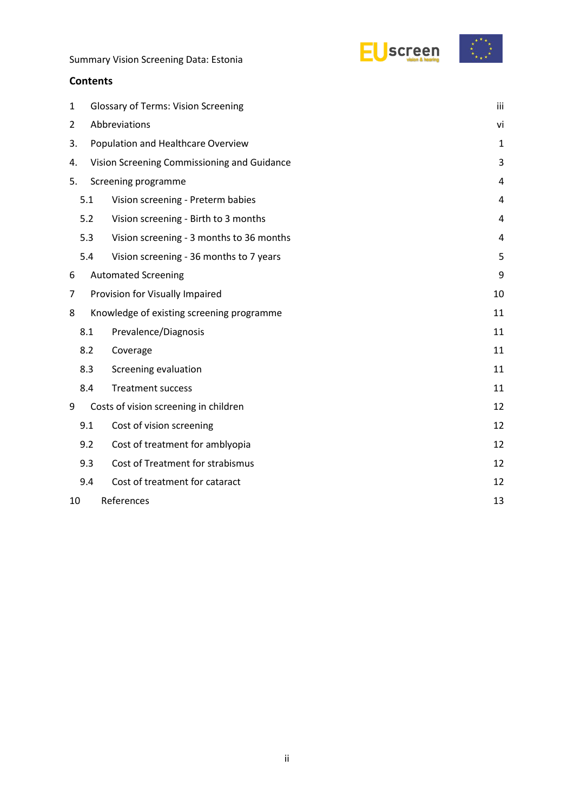

#### **Contents**

| 1                |                                             | <b>Glossary of Terms: Vision Screening</b> |                |  |  |
|------------------|---------------------------------------------|--------------------------------------------|----------------|--|--|
| 2                | Abbreviations                               |                                            |                |  |  |
|                  | Population and Healthcare Overview<br>3.    |                                            |                |  |  |
| 4.               | Vision Screening Commissioning and Guidance |                                            |                |  |  |
| 5.               |                                             | Screening programme                        | 4              |  |  |
|                  | 5.1                                         | Vision screening - Preterm babies          | 4              |  |  |
|                  | 5.2                                         | Vision screening - Birth to 3 months       | $\overline{4}$ |  |  |
|                  | 5.3                                         | Vision screening - 3 months to 36 months   | 4              |  |  |
|                  | 5.4                                         | Vision screening - 36 months to 7 years    | 5              |  |  |
| 6                |                                             | <b>Automated Screening</b>                 | 9              |  |  |
| 7                | Provision for Visually Impaired             |                                            |                |  |  |
| 8                |                                             | Knowledge of existing screening programme  | 11             |  |  |
|                  | 8.1                                         | Prevalence/Diagnosis                       | 11             |  |  |
|                  | 8.2                                         | Coverage                                   | 11             |  |  |
|                  | 8.3                                         | Screening evaluation                       | 11             |  |  |
|                  | 8.4                                         | <b>Treatment success</b>                   | 11             |  |  |
| 9                |                                             | Costs of vision screening in children      | 12             |  |  |
|                  | 9.1                                         | Cost of vision screening                   | 12             |  |  |
|                  | 9.2                                         | Cost of treatment for amblyopia            | 12             |  |  |
|                  | 9.3                                         | Cost of Treatment for strabismus           | 12             |  |  |
|                  | 9.4                                         | Cost of treatment for cataract             | 12             |  |  |
| References<br>10 |                                             |                                            | 13             |  |  |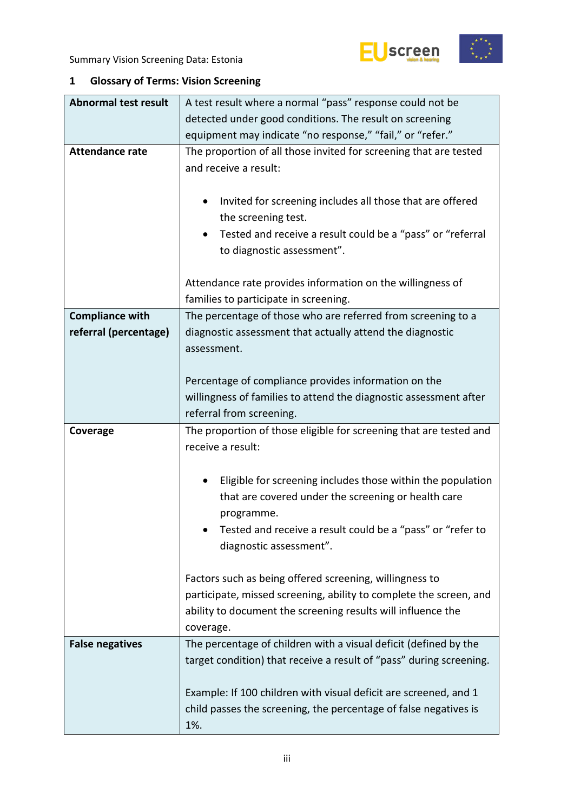

# <span id="page-2-0"></span>**1 Glossary of Terms: Vision Screening**

| <b>Abnormal test result</b> | A test result where a normal "pass" response could not be                                                                            |  |  |  |  |  |
|-----------------------------|--------------------------------------------------------------------------------------------------------------------------------------|--|--|--|--|--|
|                             | detected under good conditions. The result on screening                                                                              |  |  |  |  |  |
|                             | equipment may indicate "no response," "fail," or "refer."                                                                            |  |  |  |  |  |
| <b>Attendance rate</b>      | The proportion of all those invited for screening that are tested                                                                    |  |  |  |  |  |
|                             | and receive a result:                                                                                                                |  |  |  |  |  |
|                             |                                                                                                                                      |  |  |  |  |  |
|                             | Invited for screening includes all those that are offered<br>٠                                                                       |  |  |  |  |  |
|                             | the screening test.                                                                                                                  |  |  |  |  |  |
|                             | Tested and receive a result could be a "pass" or "referral<br>٠                                                                      |  |  |  |  |  |
|                             | to diagnostic assessment".                                                                                                           |  |  |  |  |  |
|                             |                                                                                                                                      |  |  |  |  |  |
|                             | Attendance rate provides information on the willingness of                                                                           |  |  |  |  |  |
|                             | families to participate in screening.                                                                                                |  |  |  |  |  |
| <b>Compliance with</b>      | The percentage of those who are referred from screening to a                                                                         |  |  |  |  |  |
| referral (percentage)       | diagnostic assessment that actually attend the diagnostic                                                                            |  |  |  |  |  |
|                             | assessment.                                                                                                                          |  |  |  |  |  |
|                             |                                                                                                                                      |  |  |  |  |  |
|                             | Percentage of compliance provides information on the                                                                                 |  |  |  |  |  |
|                             | willingness of families to attend the diagnostic assessment after                                                                    |  |  |  |  |  |
|                             | referral from screening.                                                                                                             |  |  |  |  |  |
| Coverage                    | The proportion of those eligible for screening that are tested and                                                                   |  |  |  |  |  |
|                             | receive a result:                                                                                                                    |  |  |  |  |  |
|                             |                                                                                                                                      |  |  |  |  |  |
|                             | Eligible for screening includes those within the population                                                                          |  |  |  |  |  |
|                             | that are covered under the screening or health care                                                                                  |  |  |  |  |  |
|                             | programme.                                                                                                                           |  |  |  |  |  |
|                             | Tested and receive a result could be a "pass" or "refer to                                                                           |  |  |  |  |  |
|                             | diagnostic assessment".                                                                                                              |  |  |  |  |  |
|                             |                                                                                                                                      |  |  |  |  |  |
|                             | Factors such as being offered screening, willingness to                                                                              |  |  |  |  |  |
|                             | participate, missed screening, ability to complete the screen, and                                                                   |  |  |  |  |  |
|                             | ability to document the screening results will influence the                                                                         |  |  |  |  |  |
|                             | coverage.                                                                                                                            |  |  |  |  |  |
| <b>False negatives</b>      | The percentage of children with a visual deficit (defined by the                                                                     |  |  |  |  |  |
|                             |                                                                                                                                      |  |  |  |  |  |
|                             | target condition) that receive a result of "pass" during screening.                                                                  |  |  |  |  |  |
|                             |                                                                                                                                      |  |  |  |  |  |
|                             | Example: If 100 children with visual deficit are screened, and 1<br>child passes the screening, the percentage of false negatives is |  |  |  |  |  |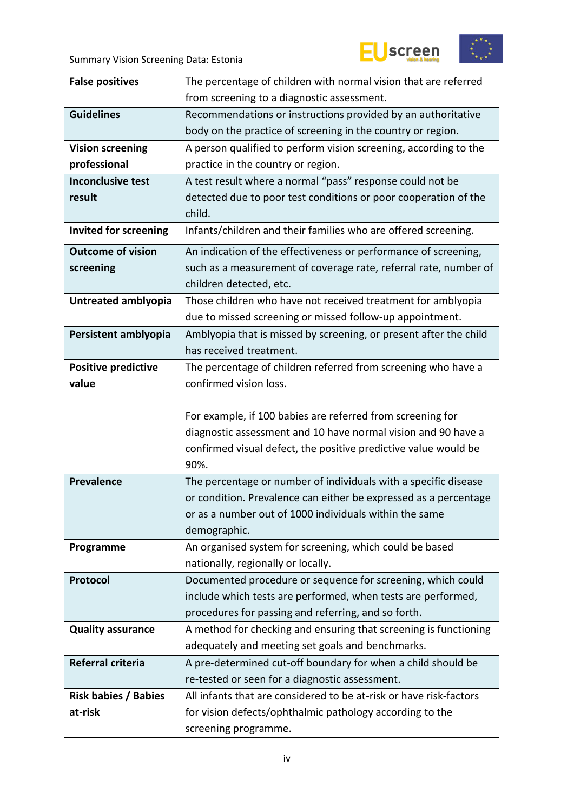





| <b>False positives</b>       | The percentage of children with normal vision that are referred                  |  |  |  |
|------------------------------|----------------------------------------------------------------------------------|--|--|--|
|                              | from screening to a diagnostic assessment.                                       |  |  |  |
| <b>Guidelines</b>            | Recommendations or instructions provided by an authoritative                     |  |  |  |
|                              | body on the practice of screening in the country or region.                      |  |  |  |
| <b>Vision screening</b>      | A person qualified to perform vision screening, according to the                 |  |  |  |
| professional                 | practice in the country or region.                                               |  |  |  |
| <b>Inconclusive test</b>     | A test result where a normal "pass" response could not be                        |  |  |  |
| result                       | detected due to poor test conditions or poor cooperation of the                  |  |  |  |
|                              | child.                                                                           |  |  |  |
| <b>Invited for screening</b> | Infants/children and their families who are offered screening.                   |  |  |  |
| <b>Outcome of vision</b>     | An indication of the effectiveness or performance of screening,                  |  |  |  |
| screening                    | such as a measurement of coverage rate, referral rate, number of                 |  |  |  |
|                              | children detected, etc.                                                          |  |  |  |
| Untreated amblyopia          | Those children who have not received treatment for amblyopia                     |  |  |  |
|                              | due to missed screening or missed follow-up appointment.                         |  |  |  |
| Persistent amblyopia         | Amblyopia that is missed by screening, or present after the child                |  |  |  |
|                              | has received treatment.                                                          |  |  |  |
| <b>Positive predictive</b>   | The percentage of children referred from screening who have a                    |  |  |  |
| value                        | confirmed vision loss.                                                           |  |  |  |
|                              |                                                                                  |  |  |  |
|                              |                                                                                  |  |  |  |
|                              | For example, if 100 babies are referred from screening for                       |  |  |  |
|                              | diagnostic assessment and 10 have normal vision and 90 have a                    |  |  |  |
|                              | confirmed visual defect, the positive predictive value would be                  |  |  |  |
|                              | 90%.                                                                             |  |  |  |
| <b>Prevalence</b>            | The percentage or number of individuals with a specific disease                  |  |  |  |
|                              | or condition. Prevalence can either be expressed as a percentage                 |  |  |  |
|                              | or as a number out of 1000 individuals within the same                           |  |  |  |
|                              | demographic.                                                                     |  |  |  |
| Programme                    | An organised system for screening, which could be based                          |  |  |  |
|                              | nationally, regionally or locally.                                               |  |  |  |
| Protocol                     | Documented procedure or sequence for screening, which could                      |  |  |  |
|                              | include which tests are performed, when tests are performed,                     |  |  |  |
|                              | procedures for passing and referring, and so forth.                              |  |  |  |
| <b>Quality assurance</b>     | A method for checking and ensuring that screening is functioning                 |  |  |  |
|                              | adequately and meeting set goals and benchmarks.                                 |  |  |  |
| Referral criteria            | A pre-determined cut-off boundary for when a child should be                     |  |  |  |
|                              | re-tested or seen for a diagnostic assessment.                                   |  |  |  |
| <b>Risk babies / Babies</b>  | All infants that are considered to be at-risk or have risk-factors               |  |  |  |
| at-risk                      | for vision defects/ophthalmic pathology according to the<br>screening programme. |  |  |  |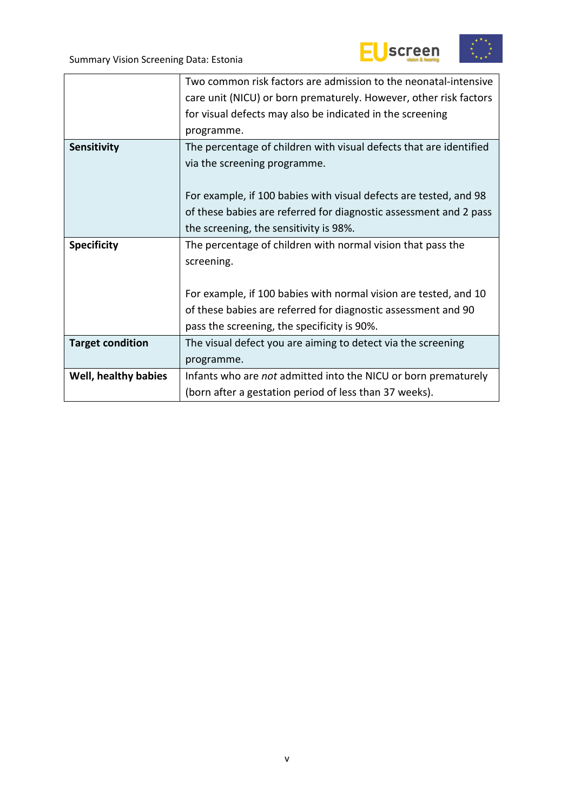





|                         | Two common risk factors are admission to the neonatal-intensive    |  |  |  |
|-------------------------|--------------------------------------------------------------------|--|--|--|
|                         | care unit (NICU) or born prematurely. However, other risk factors  |  |  |  |
|                         | for visual defects may also be indicated in the screening          |  |  |  |
|                         | programme.                                                         |  |  |  |
| Sensitivity             | The percentage of children with visual defects that are identified |  |  |  |
|                         | via the screening programme.                                       |  |  |  |
|                         |                                                                    |  |  |  |
|                         | For example, if 100 babies with visual defects are tested, and 98  |  |  |  |
|                         | of these babies are referred for diagnostic assessment and 2 pass  |  |  |  |
|                         | the screening, the sensitivity is 98%.                             |  |  |  |
| <b>Specificity</b>      | The percentage of children with normal vision that pass the        |  |  |  |
|                         | screening.                                                         |  |  |  |
|                         |                                                                    |  |  |  |
|                         | For example, if 100 babies with normal vision are tested, and 10   |  |  |  |
|                         | of these babies are referred for diagnostic assessment and 90      |  |  |  |
|                         | pass the screening, the specificity is 90%.                        |  |  |  |
| <b>Target condition</b> | The visual defect you are aiming to detect via the screening       |  |  |  |
|                         | programme.                                                         |  |  |  |
| Well, healthy babies    | Infants who are not admitted into the NICU or born prematurely     |  |  |  |
|                         | (born after a gestation period of less than 37 weeks).             |  |  |  |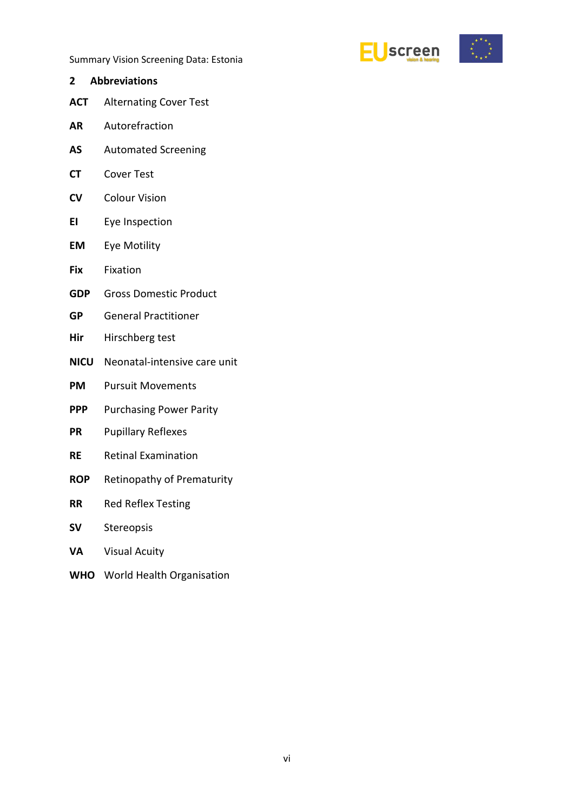

- <span id="page-5-0"></span>**2 Abbreviations**
- **ACT** Alternating Cover Test
- **AR** Autorefraction
- **AS** Automated Screening
- **CT** Cover Test
- **CV** Colour Vision
- **EI** Eye Inspection
- **EM** Eye Motility
- **Fix** Fixation
- **GDP** Gross Domestic Product
- **GP** General Practitioner
- **Hir** Hirschberg test
- **NICU** Neonatal-intensive care unit
- **PM** Pursuit Movements
- **PPP** Purchasing Power Parity
- **PR** Pupillary Reflexes
- **RE** Retinal Examination
- **ROP** Retinopathy of Prematurity
- **RR** Red Reflex Testing
- **SV** Stereopsis
- **VA** Visual Acuity
- **WHO** World Health Organisation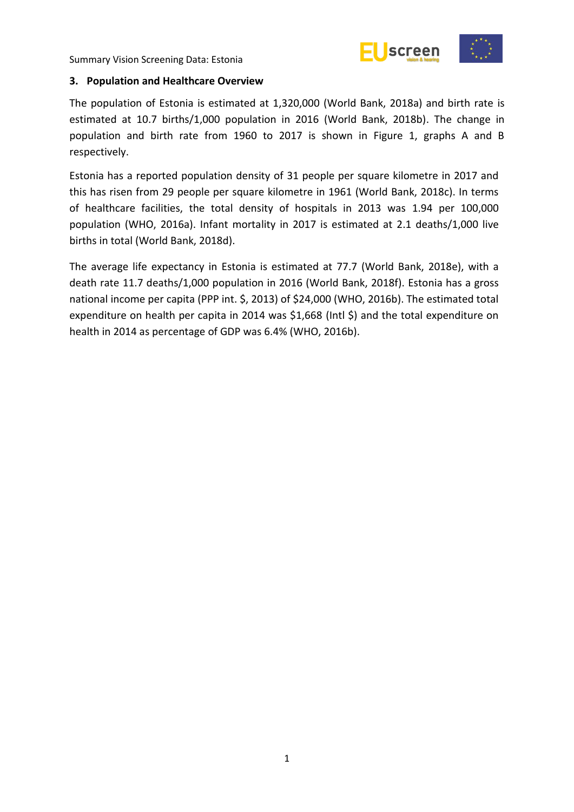



#### <span id="page-6-0"></span>**3. Population and Healthcare Overview**

The population of Estonia is estimated at 1,320,000 (World Bank, 2018a) and birth rate is estimated at 10.7 births/1,000 population in 2016 (World Bank, 2018b). The change in population and birth rate from 1960 to 2017 is shown in Figure 1, graphs A and B respectively.

Estonia has a reported population density of 31 people per square kilometre in 2017 and this has risen from 29 people per square kilometre in 1961 (World Bank, 2018c). In terms of healthcare facilities, the total density of hospitals in 2013 was 1.94 per 100,000 population (WHO, 2016a). Infant mortality in 2017 is estimated at 2.1 deaths/1,000 live births in total (World Bank, 2018d).

The average life expectancy in Estonia is estimated at 77.7 (World Bank, 2018e), with a death rate 11.7 deaths/1,000 population in 2016 (World Bank, 2018f). Estonia has a gross national income per capita (PPP int. \$, 2013) of \$24,000 (WHO, 2016b). The estimated total expenditure on health per capita in 2014 was \$1,668 (Intl \$) and the total expenditure on health in 2014 as percentage of GDP was 6.4% (WHO, 2016b).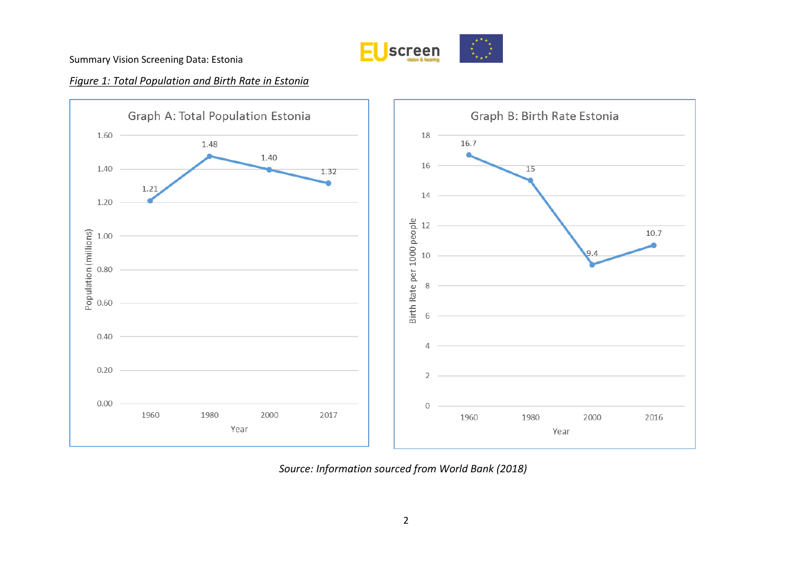

# *Figure 1: Total Population and Birth Rate in Estonia*



*Source: Information sourced from World Bank (2018)*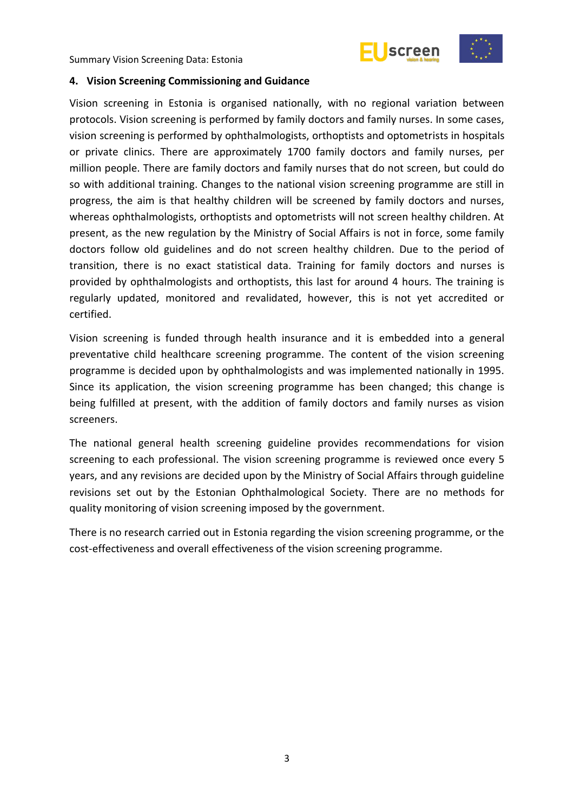



#### <span id="page-8-0"></span>**4. Vision Screening Commissioning and Guidance**

Vision screening in Estonia is organised nationally, with no regional variation between protocols. Vision screening is performed by family doctors and family nurses. In some cases, vision screening is performed by ophthalmologists, orthoptists and optometrists in hospitals or private clinics. There are approximately 1700 family doctors and family nurses, per million people. There are family doctors and family nurses that do not screen, but could do so with additional training. Changes to the national vision screening programme are still in progress, the aim is that healthy children will be screened by family doctors and nurses, whereas ophthalmologists, orthoptists and optometrists will not screen healthy children. At present, as the new regulation by the Ministry of Social Affairs is not in force, some family doctors follow old guidelines and do not screen healthy children. Due to the period of transition, there is no exact statistical data. Training for family doctors and nurses is provided by ophthalmologists and orthoptists, this last for around 4 hours. The training is regularly updated, monitored and revalidated, however, this is not yet accredited or certified.

Vision screening is funded through health insurance and it is embedded into a general preventative child healthcare screening programme. The content of the vision screening programme is decided upon by ophthalmologists and was implemented nationally in 1995. Since its application, the vision screening programme has been changed; this change is being fulfilled at present, with the addition of family doctors and family nurses as vision screeners.

The national general health screening guideline provides recommendations for vision screening to each professional. The vision screening programme is reviewed once every 5 years, and any revisions are decided upon by the Ministry of Social Affairs through guideline revisions set out by the Estonian Ophthalmological Society. There are no methods for quality monitoring of vision screening imposed by the government.

There is no research carried out in Estonia regarding the vision screening programme, or the cost-effectiveness and overall effectiveness of the vision screening programme.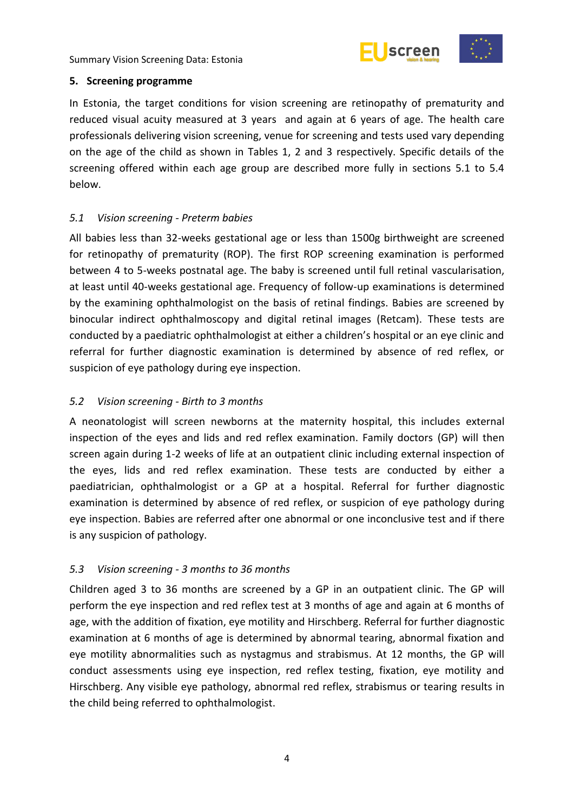

#### <span id="page-9-0"></span>**5. Screening programme**

In Estonia, the target conditions for vision screening are retinopathy of prematurity and reduced visual acuity measured at 3 years and again at 6 years of age. The health care professionals delivering vision screening, venue for screening and tests used vary depending on the age of the child as shown in Tables 1, 2 and 3 respectively. Specific details of the screening offered within each age group are described more fully in sections 5.1 to 5.4 below.

#### <span id="page-9-1"></span>*5.1 Vision screening - Preterm babies*

All babies less than 32-weeks gestational age or less than 1500g birthweight are screened for retinopathy of prematurity (ROP). The first ROP screening examination is performed between 4 to 5-weeks postnatal age. The baby is screened until full retinal vascularisation, at least until 40-weeks gestational age. Frequency of follow-up examinations is determined by the examining ophthalmologist on the basis of retinal findings. Babies are screened by binocular indirect ophthalmoscopy and digital retinal images (Retcam). These tests are conducted by a paediatric ophthalmologist at either a children's hospital or an eye clinic and referral for further diagnostic examination is determined by absence of red reflex, or suspicion of eye pathology during eye inspection.

# <span id="page-9-2"></span>*5.2 Vision screening - Birth to 3 months*

A neonatologist will screen newborns at the maternity hospital, this includes external inspection of the eyes and lids and red reflex examination. Family doctors (GP) will then screen again during 1-2 weeks of life at an outpatient clinic including external inspection of the eyes, lids and red reflex examination. These tests are conducted by either a paediatrician, ophthalmologist or a GP at a hospital. Referral for further diagnostic examination is determined by absence of red reflex, or suspicion of eye pathology during eye inspection. Babies are referred after one abnormal or one inconclusive test and if there is any suspicion of pathology.

# <span id="page-9-3"></span>*5.3 Vision screening - 3 months to 36 months*

Children aged 3 to 36 months are screened by a GP in an outpatient clinic. The GP will perform the eye inspection and red reflex test at 3 months of age and again at 6 months of age, with the addition of fixation, eye motility and Hirschberg. Referral for further diagnostic examination at 6 months of age is determined by abnormal tearing, abnormal fixation and eye motility abnormalities such as nystagmus and strabismus. At 12 months, the GP will conduct assessments using eye inspection, red reflex testing, fixation, eye motility and Hirschberg. Any visible eye pathology, abnormal red reflex, strabismus or tearing results in the child being referred to ophthalmologist.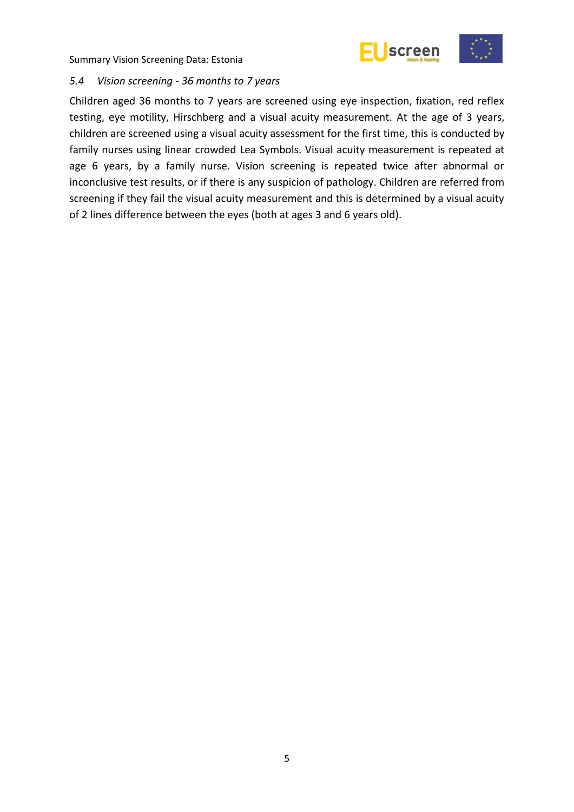



#### <span id="page-10-0"></span>*5.4 Vision screening - 36 months to 7 years*

Children aged 36 months to 7 years are screened using eye inspection, fixation, red reflex testing, eye motility, Hirschberg and a visual acuity measurement. At the age of 3 years, children are screened using a visual acuity assessment for the first time, this is conducted by family nurses using linear crowded Lea Symbols. Visual acuity measurement is repeated at age 6 years, by a family nurse. Vision screening is repeated twice after abnormal or inconclusive test results, or if there is any suspicion of pathology. Children are referred from screening if they fail the visual acuity measurement and this is determined by a visual acuity of 2 lines difference between the eyes (both at ages 3 and 6 years old).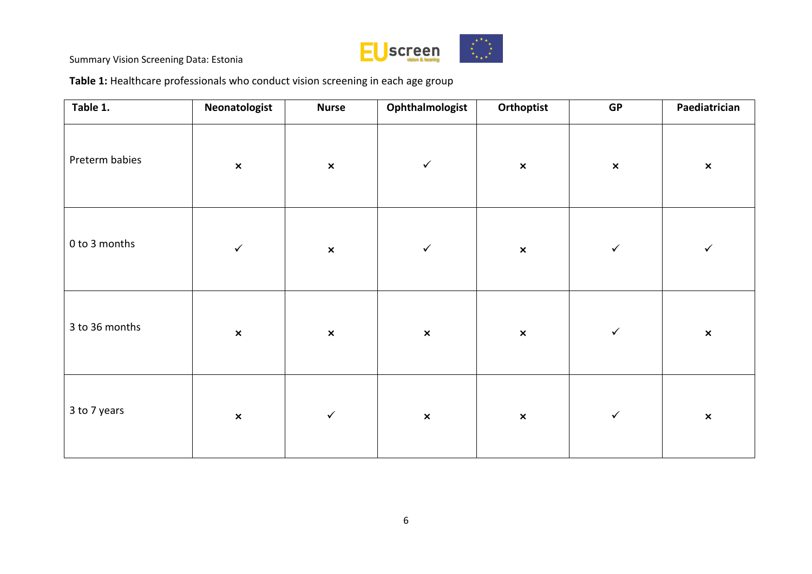

**Table 1:** Healthcare professionals who conduct vision screening in each age group

| Table 1.       | Neonatologist  | <b>Nurse</b>   | Ophthalmologist | Orthoptist     | GP             | Paediatrician  |
|----------------|----------------|----------------|-----------------|----------------|----------------|----------------|
| Preterm babies | $\pmb{\times}$ | $\pmb{\times}$ | $\checkmark$    | $\pmb{\times}$ | $\pmb{\times}$ | $\pmb{\times}$ |
| 0 to 3 months  | $\checkmark$   | $\pmb{\times}$ | $\checkmark$    | $\pmb{\times}$ | $\checkmark$   | $\checkmark$   |
| 3 to 36 months | $\pmb{\times}$ | $\pmb{\times}$ | $\pmb{\times}$  | $\pmb{\times}$ | $\checkmark$   | $\pmb{\times}$ |
| 3 to 7 years   | $\pmb{\times}$ | $\checkmark$   | $\pmb{\times}$  | $\pmb{\times}$ | $\checkmark$   | $\pmb{\times}$ |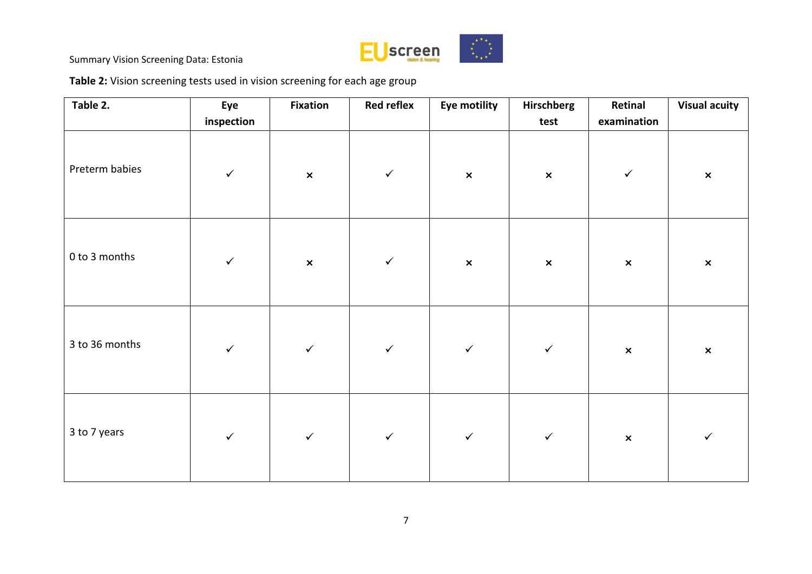

**Table 2:** Vision screening tests used in vision screening for each age group

| Table 2.       | Eye<br>inspection | <b>Fixation</b>           | <b>Red reflex</b> | Eye motility   | Hirschberg<br>test        | Retinal<br>examination | <b>Visual acuity</b> |
|----------------|-------------------|---------------------------|-------------------|----------------|---------------------------|------------------------|----------------------|
| Preterm babies | $\checkmark$      | $\boldsymbol{\mathsf{x}}$ | $\checkmark$      | $\pmb{\times}$ | $\boldsymbol{\mathsf{x}}$ | $\checkmark$           | $\pmb{\times}$       |
| 0 to 3 months  | $\checkmark$      | $\pmb{\times}$            | $\checkmark$      | $\pmb{\times}$ | $\pmb{\times}$            | $\pmb{\times}$         | $\pmb{\times}$       |
| 3 to 36 months | $\checkmark$      | $\checkmark$              | $\checkmark$      | $\checkmark$   | $\checkmark$              | $\pmb{\times}$         | $\pmb{\times}$       |
| 3 to 7 years   | $\checkmark$      | $\checkmark$              | $\checkmark$      | $\checkmark$   | $\checkmark$              | $\pmb{\times}$         | $\checkmark$         |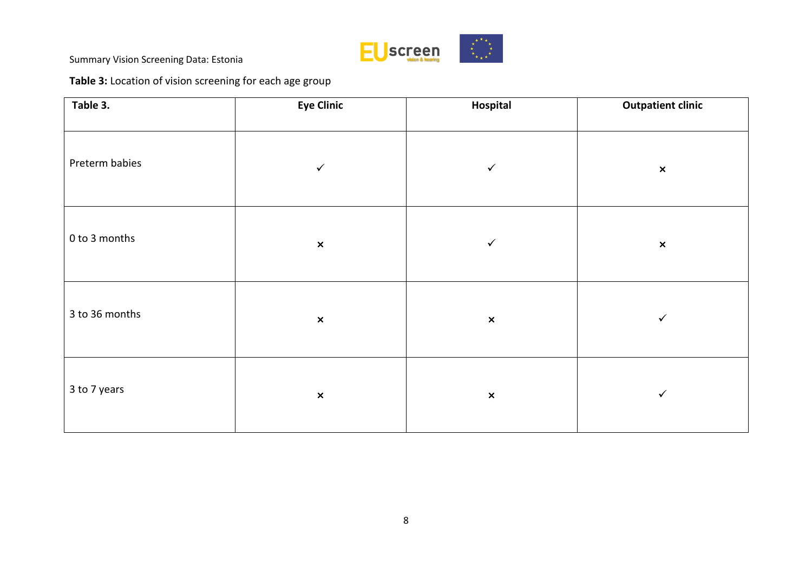

# **Table 3:** Location of vision screening for each age group

| Table 3.       | <b>Eye Clinic</b> | Hospital       | <b>Outpatient clinic</b> |
|----------------|-------------------|----------------|--------------------------|
| Preterm babies | $\checkmark$      | $\checkmark$   | $\pmb{\times}$           |
| 0 to 3 months  | $\pmb{\times}$    | $\checkmark$   | $\pmb{\times}$           |
| 3 to 36 months | $\pmb{\times}$    | $\pmb{\times}$ | $\checkmark$             |
| 3 to 7 years   | $\pmb{\times}$    | $\pmb{\times}$ | $\checkmark$             |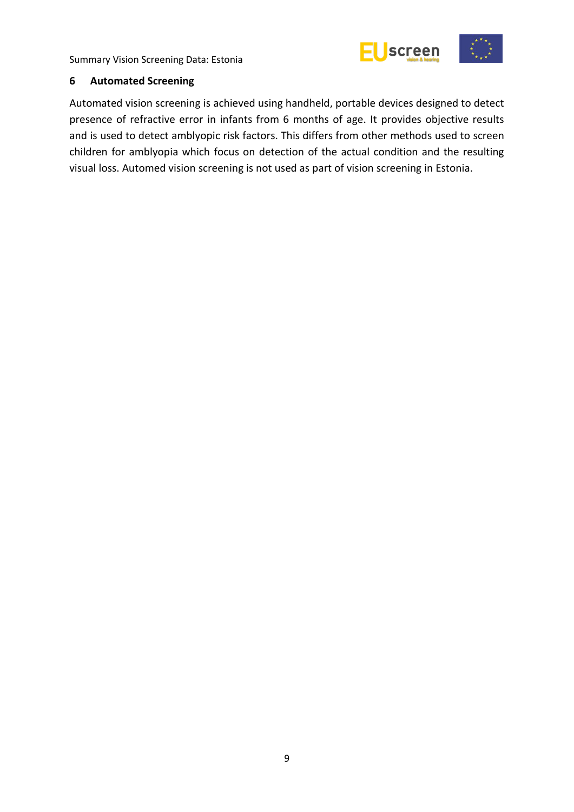

#### <span id="page-14-0"></span>**6 Automated Screening**

Automated vision screening is achieved using handheld, portable devices designed to detect presence of refractive error in infants from 6 months of age. It provides objective results and is used to detect amblyopic risk factors. This differs from other methods used to screen children for amblyopia which focus on detection of the actual condition and the resulting visual loss. Automed vision screening is not used as part of vision screening in Estonia.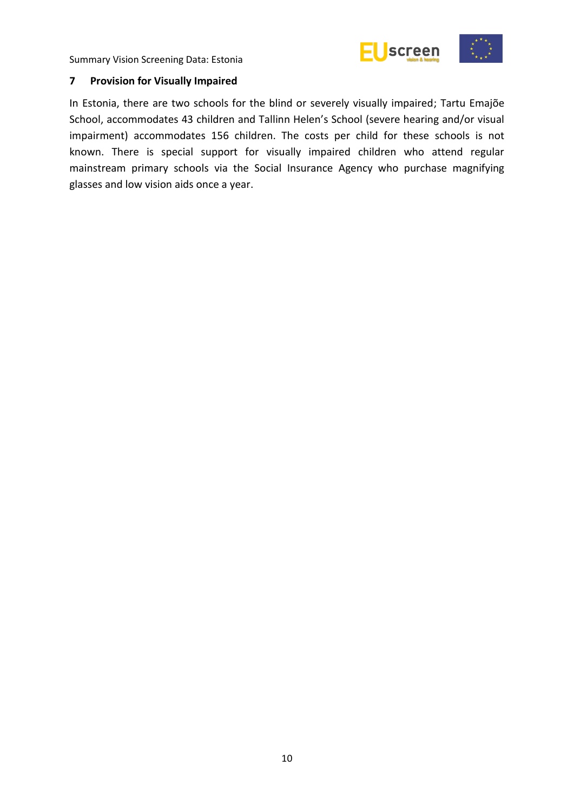

#### <span id="page-15-0"></span>**7 Provision for Visually Impaired**

In Estonia, there are two schools for the blind or severely visually impaired; Tartu Emajõe School, accommodates 43 children and Tallinn Helen's School (severe hearing and/or visual impairment) accommodates 156 children. The costs per child for these schools is not known. There is special support for visually impaired children who attend regular mainstream primary schools via the Social Insurance Agency who purchase magnifying glasses and low vision aids once a year.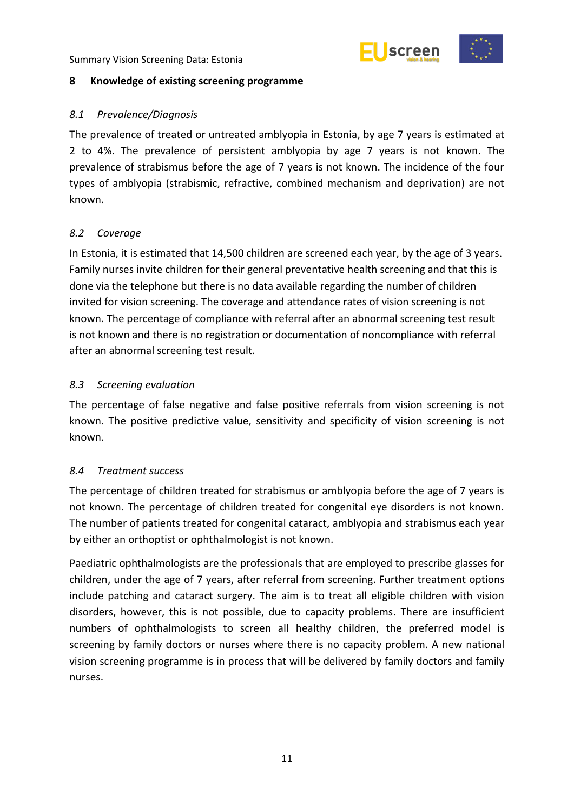



# <span id="page-16-0"></span>**8 Knowledge of existing screening programme**

# <span id="page-16-1"></span>*8.1 Prevalence/Diagnosis*

The prevalence of treated or untreated amblyopia in Estonia, by age 7 years is estimated at 2 to 4%. The prevalence of persistent amblyopia by age 7 years is not known. The prevalence of strabismus before the age of 7 years is not known. The incidence of the four types of amblyopia (strabismic, refractive, combined mechanism and deprivation) are not known.

# <span id="page-16-2"></span>*8.2 Coverage*

In Estonia, it is estimated that 14,500 children are screened each year, by the age of 3 years. Family nurses invite children for their general preventative health screening and that this is done via the telephone but there is no data available regarding the number of children invited for vision screening. The coverage and attendance rates of vision screening is not known. The percentage of compliance with referral after an abnormal screening test result is not known and there is no registration or documentation of noncompliance with referral after an abnormal screening test result.

# <span id="page-16-3"></span>*8.3 Screening evaluation*

The percentage of false negative and false positive referrals from vision screening is not known. The positive predictive value, sensitivity and specificity of vision screening is not known.

# <span id="page-16-4"></span>*8.4 Treatment success*

The percentage of children treated for strabismus or amblyopia before the age of 7 years is not known. The percentage of children treated for congenital eye disorders is not known. The number of patients treated for congenital cataract, amblyopia and strabismus each year by either an orthoptist or ophthalmologist is not known.

Paediatric ophthalmologists are the professionals that are employed to prescribe glasses for children, under the age of 7 years, after referral from screening. Further treatment options include patching and cataract surgery. The aim is to treat all eligible children with vision disorders, however, this is not possible, due to capacity problems. There are insufficient numbers of ophthalmologists to screen all healthy children, the preferred model is screening by family doctors or nurses where there is no capacity problem. A new national vision screening programme is in process that will be delivered by family doctors and family nurses.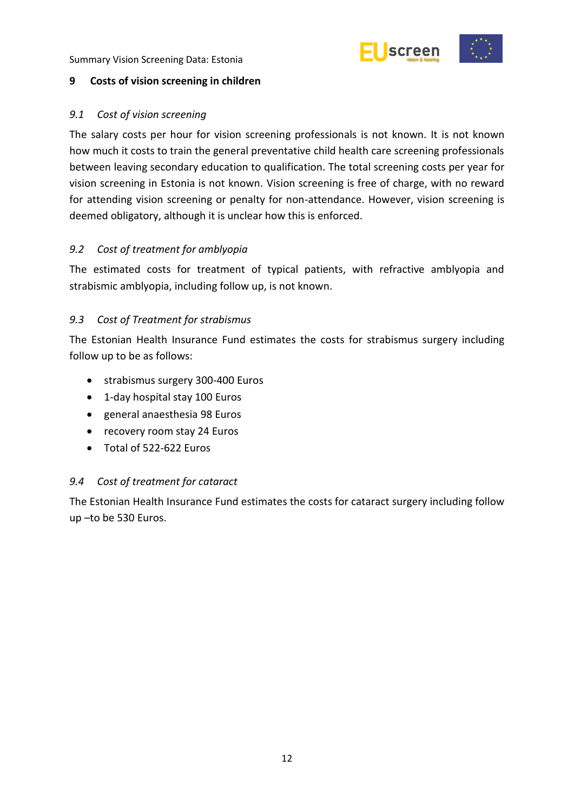

# <span id="page-17-0"></span>**9 Costs of vision screening in children**

#### <span id="page-17-1"></span>*9.1 Cost of vision screening*

The salary costs per hour for vision screening professionals is not known. It is not known how much it costs to train the general preventative child health care screening professionals between leaving secondary education to qualification. The total screening costs per year for vision screening in Estonia is not known. Vision screening is free of charge, with no reward for attending vision screening or penalty for non-attendance. However, vision screening is deemed obligatory, although it is unclear how this is enforced.

# <span id="page-17-2"></span>*9.2 Cost of treatment for amblyopia*

The estimated costs for treatment of typical patients, with refractive amblyopia and strabismic amblyopia, including follow up, is not known.

#### <span id="page-17-3"></span>*9.3 Cost of Treatment for strabismus*

The Estonian Health Insurance Fund estimates the costs for strabismus surgery including follow up to be as follows:

- strabismus surgery 300-400 Euros
- 1-day hospital stay 100 Euros
- general anaesthesia 98 Euros
- recovery room stay 24 Euros
- Total of 522-622 Euros

#### <span id="page-17-4"></span>*9.4 Cost of treatment for cataract*

The Estonian Health Insurance Fund estimates the costs for cataract surgery including follow up –to be 530 Euros.